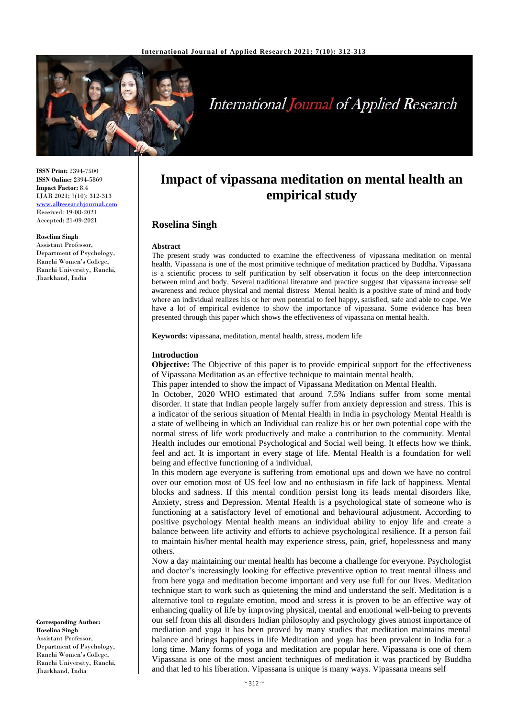

# **International Journal of Applied Research**

**ISSN Print:** 2394-7500 **ISSN Online:** 2394-5869 **Impact Factor:** 8.4 IJAR 2021; 7(10): 312-313 <www.allresearchjournal.com> Received: 19-08-2021 Accepted: 21-09-2021

#### **Roselina Singh**

Assistant Professor, Department of Psychology, Ranchi Women's College, Ranchi University, Ranchi, Jharkhand, India

**Corresponding Author: Roselina Singh** Assistant Professor, Department of Psychology, Ranchi Women's College, Ranchi University, Ranchi, Jharkhand, India

# **Impact of vipassana meditation on mental health an empirical study**

## **Roselina Singh**

#### **Abstract**

The present study was conducted to examine the effectiveness of vipassana meditation on mental health. Vipassana is one of the most primitive technique of meditation practiced by Buddha. Vipassana is a scientific process to self purification by self observation it focus on the deep interconnection between mind and body. Several traditional literature and practice suggest that vipassana increase self awareness and reduce physical and mental distress Mental health is a positive state of mind and body where an individual realizes his or her own potential to feel happy, satisfied, safe and able to cope. We have a lot of empirical evidence to show the importance of vipassana. Some evidence has been presented through this paper which shows the effectiveness of vipassana on mental health.

**Keywords:** vipassana, meditation, mental health, stress, modern life

#### **Introduction**

**Objective:** The Objective of this paper is to provide empirical support for the effectiveness of Vipassana Meditation as an effective technique to maintain mental health.

This paper intended to show the impact of Vipassana Meditation on Mental Health.

In October, 2020 WHO estimated that around 7.5% Indians suffer from some mental disorder. It state that Indian people largely suffer from anxiety depression and stress. This is a indicator of the serious situation of Mental Health in India in psychology Mental Health is a state of wellbeing in which an Individual can realize his or her own potential cope with the normal stress of life work productively and make a contribution to the community. Mental Health includes our emotional Psychological and Social well being. It effects how we think, feel and act. It is important in every stage of life. Mental Health is a foundation for well being and effective functioning of a individual.

In this modern age everyone is suffering from emotional ups and down we have no control over our emotion most of US feel low and no enthusiasm in fife lack of happiness. Mental blocks and sadness. If this mental condition persist long its leads mental disorders like, Anxiety, stress and Depression. Mental Health is a psychological state of someone who is functioning at a satisfactory level of emotional and behavioural adjustment. According to positive psychology Mental health means an individual ability to enjoy life and create a balance between life activity and efforts to achieve psychological resilience. If a person fail to maintain his/her mental health may experience stress, pain, grief, hopelessness and many others.

Now a day maintaining our mental health has become a challenge for everyone. Psychologist and doctor's increasingly looking for effective preventive option to treat mental illness and from here yoga and meditation become important and very use full for our lives. Meditation technique start to work such as quietening the mind and understand the self. Meditation is a alternative tool to regulate emotion, mood and stress it is proven to be an effective way of enhancing quality of life by improving physical, mental and emotional well-being to prevents our self from this all disorders Indian philosophy and psychology gives atmost importance of mediation and yoga it has been proved by many studies that meditation maintains mental balance and brings happiness in life Meditation and yoga has been prevalent in India for a long time. Many forms of yoga and meditation are popular here. Vipassana is one of them Vipassana is one of the most ancient techniques of meditation it was practiced by Buddha and that led to his liberation. Vipassana is unique is many ways. Vipassana means self